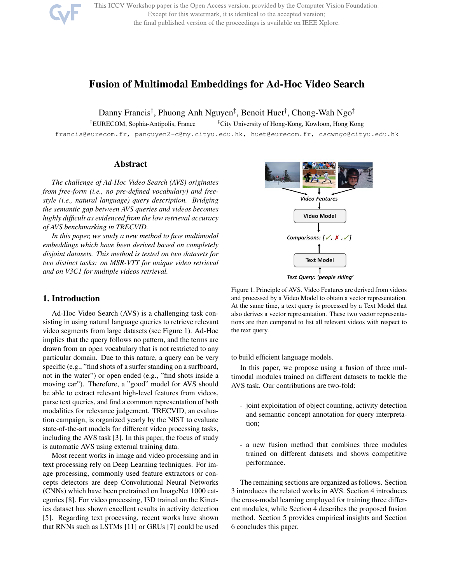This ICCV Workshop paper is the Open Access version, provided by the Computer Vision Foundation. Except for this watermark, it is identical to the accepted version; the final published version of the proceedings is available on IEEE Xplore.

# Fusion of Multimodal Embeddings for Ad-Hoc Video Search

Danny Francis†, Phuong Anh Nguyen‡, Benoit Huet†, Chong-Wah Ngo‡

†EURECOM, Sophia-Antipolis, France ‡City University of Hong-Kong, Kowloon, Hong Kong

francis@eurecom.fr, panguyen2-c@my.cityu.edu.hk, huet@eurecom.fr, cscwngo@cityu.edu.hk

### Abstract

*The challenge of Ad-Hoc Video Search (AVS) originates from free-form (i.e., no pre-defined vocabulary) and freestyle (i.e., natural language) query description. Bridging the semantic gap between AVS queries and videos becomes highly difficult as evidenced from the low retrieval accuracy of AVS benchmarking in TRECVID.*

*In this paper, we study a new method to fuse multimodal embeddings which have been derived based on completely disjoint datasets. This method is tested on two datasets for two distinct tasks: on MSR-VTT for unique video retrieval and on V3C1 for multiple videos retrieval.*

### 1. Introduction

Ad-Hoc Video Search (AVS) is a challenging task consisting in using natural language queries to retrieve relevant video segments from large datasets (see Figure 1). Ad-Hoc implies that the query follows no pattern, and the terms are drawn from an open vocabulary that is not restricted to any particular domain. Due to this nature, a query can be very specific (e.g., "find shots of a surfer standing on a surfboard, not in the water") or open ended (e.g., "find shots inside a moving car"). Therefore, a "good" model for AVS should be able to extract relevant high-level features from videos, parse text queries, and find a common representation of both modalities for relevance judgement. TRECVID, an evaluation campaign, is organized yearly by the NIST to evaluate state-of-the-art models for different video processing tasks, including the AVS task [3]. In this paper, the focus of study is automatic AVS using external training data.

Most recent works in image and video processing and in text processing rely on Deep Learning techniques. For image processing, commonly used feature extractors or concepts detectors are deep Convolutional Neural Networks (CNNs) which have been pretrained on ImageNet 1000 categories [8]. For video processing, I3D trained on the Kinetics dataset has shown excellent results in activity detection [5]. Regarding text processing, recent works have shown that RNNs such as LSTMs [11] or GRUs [7] could be used



Figure 1. Principle of AVS. Video Features are derived from videos and processed by a Video Model to obtain a vector representation. At the same time, a text query is processed by a Text Model that also derives a vector representation. These two vector representations are then compared to list all relevant videos with respect to the text query.

to build efficient language models.

In this paper, we propose using a fusion of three multimodal modules trained on different datasets to tackle the AVS task. Our contributions are two-fold:

- joint exploitation of object counting, activity detection and semantic concept annotation for query interpretation;
- a new fusion method that combines three modules trained on different datasets and shows competitive performance.

The remaining sections are organized as follows. Section 3 introduces the related works in AVS. Section 4 introduces the cross-modal learning employed for training three different modules, while Section 4 describes the proposed fusion method. Section 5 provides empirical insights and Section 6 concludes this paper.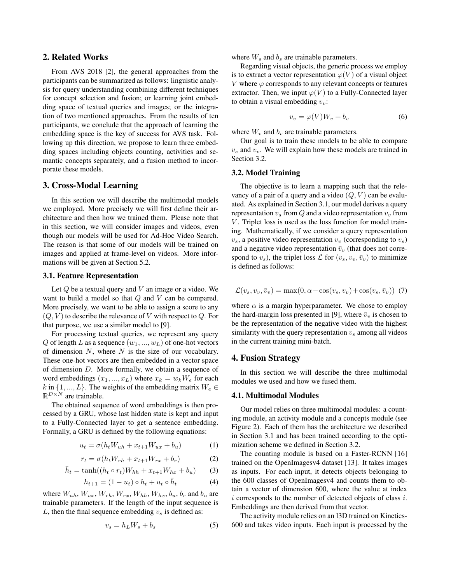# 2. Related Works

From AVS 2018 [2], the general approaches from the participants can be summarized as follows: linguistic analysis for query understanding combining different techniques for concept selection and fusion; or learning joint embedding space of textual queries and images; or the integration of two mentioned approaches. From the results of ten participants, we conclude that the approach of learning the embedding space is the key of success for AVS task. Following up this direction, we propose to learn three embedding spaces including objects counting, activities and semantic concepts separately, and a fusion method to incorporate these models.

### 3. Cross-Modal Learning

In this section we will describe the multimodal models we employed. More precisely we will first define their architecture and then how we trained them. Please note that in this section, we will consider images and videos, even though our models will be used for Ad-Hoc Video Search. The reason is that some of our models will be trained on images and applied at frame-level on videos. More informations will be given at Section 5.2.

#### 3.1. Feature Representation

Let  $Q$  be a textual query and  $V$  an image or a video. We want to build a model so that  $Q$  and  $V$  can be compared. More precisely, we want to be able to assign a score to any  $(Q, V)$  to describe the relevance of V with respect to Q. For that purpose, we use a similar model to [9].

For processing textual queries, we represent any query  $Q$  of length L as a sequence  $(w_1, ..., w_L)$  of one-hot vectors of dimension  $N$ , where  $N$  is the size of our vocabulary. These one-hot vectors are then embedded in a vector space of dimension D. More formally, we obtain a sequence of word embeddings  $(x_1, ..., x_L)$  where  $x_k = w_k W_e$  for each  $k$  in  $\{1,...,L\}.$  The weights of the embedding matrix  $W_e \in \mathbb{R}^d$  $\mathbb{R}^{D\times N}$  are trainable.

The obtained sequence of word embeddings is then processed by a GRU, whose last hidden state is kept and input to a Fully-Connected layer to get a sentence embedding. Formally, a GRU is defined by the following equations:

$$
u_t = \sigma(h_t W_{uh} + x_{t+1} W_{ux} + b_u)
$$
 (1)

$$
r_t = \sigma(h_t W_{rh} + x_{t+1} W_{rx} + b_r)
$$
 (2)

$$
\bar{h}_t = \tanh((h_t \circ r_t)W_{hh} + x_{t+1}W_{hx} + b_u)
$$
 (3)

$$
h_{t+1} = (1 - u_t) \circ h_t + u_t \circ \bar{h}_t \tag{4}
$$

where  $W_{uh}$ ,  $W_{ux}$ ,  $W_{rh}$ ,  $W_{rx}$ ,  $W_{hh}$ ,  $W_{hx}$ ,  $b_u$ ,  $b_r$  and  $b_u$  are trainable parameters. If the length of the input sequence is L, then the final sequence embedding  $v_s$  is defined as:

$$
v_s = h_L W_s + b_s \tag{5}
$$

where  $W_s$  and  $b_s$  are trainable parameters.

Regarding visual objects, the generic process we employ is to extract a vector representation  $\varphi(V)$  of a visual object V where  $\varphi$  corresponds to any relevant concepts or features extractor. Then, we input  $\varphi(V)$  to a Fully-Connected layer to obtain a visual embedding  $v_v$ :

$$
v_v = \varphi(V)W_v + b_v \tag{6}
$$

where  $W_v$  and  $b_v$  are trainable parameters.

Our goal is to train these models to be able to compare  $v_s$  and  $v_v$ . We will explain how these models are trained in Section 3.2.

#### 3.2. Model Training

The objective is to learn a mapping such that the relevancy of a pair of a query and a video  $(Q, V)$  can be evaluated. As explained in Section 3.1, our model derives a query representation  $v_s$  from Q and a video representation  $v_v$  from  $V$ . Triplet loss is used as the loss function for model training. Mathematically, if we consider a query representation  $v_s$ , a positive video representation  $v_v$  (corresponding to  $v_s$ ) and a negative video representation  $\bar{v}_v$  (that does not correspond to  $v_s$ ), the triplet loss  $\mathcal L$  for  $(v_s, v_v, \bar{v}_v)$  to minimize is defined as follows:

$$
\mathcal{L}(v_s, v_v, \bar{v}_v) = \max(0, \alpha - \cos(v_s, v_v) + \cos(v_s, \bar{v}_v))
$$
 (7)

where  $\alpha$  is a margin hyperparameter. We chose to employ the hard-margin loss presented in [9], where  $\bar{v}_v$  is chosen to be the representation of the negative video with the highest similarity with the query representation  $v<sub>s</sub>$  among all videos in the current training mini-batch.

#### 4. Fusion Strategy

In this section we will describe the three multimodal modules we used and how we fused them.

### 4.1. Multimodal Modules

Our model relies on three multimodal modules: a counting module, an activity module and a concepts module (see Figure 2). Each of them has the architecture we described in Section 3.1 and has been trained according to the optimization scheme we defined in Section 3.2.

The counting module is based on a Faster-RCNN [16] trained on the OpenImagesv4 dataset [13]. It takes images as inputs. For each input, it detects objects belonging to the 600 classes of OpenImagesv4 and counts them to obtain a vector of dimension 600, where the value at index  $i$  corresponds to the number of detected objects of class  $i$ . Embeddings are then derived from that vector.

The activity module relies on an I3D trained on Kinetics-600 and takes video inputs. Each input is processed by the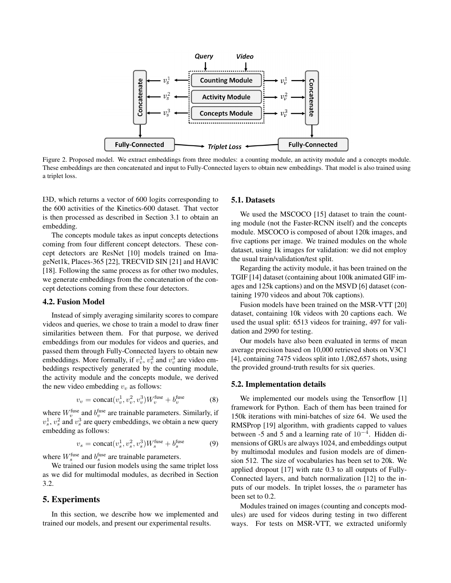

Figure 2. Proposed model. We extract embeddings from three modules: a counting module, an activity module and a concepts module. These embeddings are then concatenated and input to Fully-Connected layers to obtain new embeddings. That model is also trained using a triplet loss.

I3D, which returns a vector of 600 logits corresponding to the 600 activities of the Kinetics-600 dataset. That vector is then processed as described in Section 3.1 to obtain an embedding.

The concepts module takes as input concepts detections coming from four different concept detectors. These concept detectors are ResNet [10] models trained on ImageNet1k, Places-365 [22], TRECVID SIN [21] and HAVIC [18]. Following the same process as for other two modules, we generate embeddings from the concatenation of the concept detections coming from these four detectors.

#### 4.2. Fusion Model

Instead of simply averaging similarity scores to compare videos and queries, we chose to train a model to draw finer similarities between them. For that purpose, we derived embeddings from our modules for videos and queries, and passed them through Fully-Connected layers to obtain new embeddings. More formally, if  $v_v^1$ ,  $v_v^2$  and  $v_v^3$  are video embeddings respectively generated by the counting module, the activity module and the concepts module, we derived the new video embedding  $v<sub>v</sub>$  as follows:

$$
v_v = \text{concat}(v_v^1, v_v^2, v_v^3) W_v^{\text{fuse}} + b_v^{\text{fuse}} \tag{8}
$$

where  $W_v^{\text{fuse}}$  and  $b_v^{\text{fuse}}$  are trainable parameters. Similarly, if  $v_s^1$ ,  $v_s^2$  and  $v_s^3$  are query embeddings, we obtain a new query embedding as follows:

$$
v_s = \text{concat}(v_s^1, v_s^2, v_s^3) W_s^{\text{fuse}} + b_s^{\text{fuse}} \tag{9}
$$

where  $W_s^{\text{fuse}}$  and  $b_s^{\text{fuse}}$  are trainable parameters.

We trained our fusion models using the same triplet loss as we did for multimodal modules, as decribed in Section 3.2.

#### 5. Experiments

In this section, we describe how we implemented and trained our models, and present our experimental results.

#### 5.1. Datasets

We used the MSCOCO [15] dataset to train the counting module (not the Faster-RCNN itself) and the concepts module. MSCOCO is composed of about 120k images, and five captions per image. We trained modules on the whole dataset, using 1k images for validation: we did not employ the usual train/validation/test split.

Regarding the activity module, it has been trained on the TGIF [14] dataset (containing about 100k animated GIF images and 125k captions) and on the MSVD [6] dataset (containing 1970 videos and about 70k captions).

Fusion models have been trained on the MSR-VTT [20] dataset, containing 10k videos with 20 captions each. We used the usual split: 6513 videos for training, 497 for validation and 2990 for testing.

Our models have also been evaluated in terms of mean average precision based on 10,000 retrieved shots on V3C1 [4], containing 7475 videos split into 1,082,657 shots, using the provided ground-truth results for six queries.

#### 5.2. Implementation details

We implemented our models using the Tensorflow [1] framework for Python. Each of them has been trained for 150k iterations with mini-batches of size 64. We used the RMSProp [19] algorithm, with gradients capped to values between -5 and 5 and a learning rate of  $10^{-4}$ . Hidden dimensions of GRUs are always 1024, and embeddings output by multimodal modules and fusion models are of dimension 512. The size of vocabularies has been set to 20k. We applied dropout [17] with rate 0.3 to all outputs of Fully-Connected layers, and batch normalization [12] to the inputs of our models. In triplet losses, the  $\alpha$  parameter has been set to 0.2.

Modules trained on images (counting and concepts modules) are used for videos during testing in two different ways. For tests on MSR-VTT, we extracted uniformly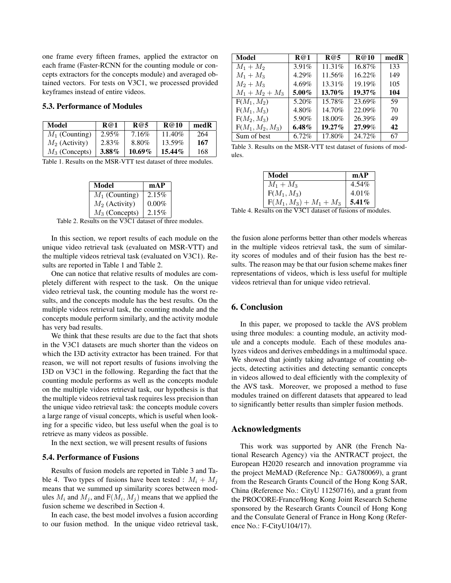one frame every fifteen frames, applied the extractor on each frame (Faster-RCNN for the counting module or concepts extractors for the concepts module) and averaged obtained vectors. For tests on V3C1, we processed provided keyframes instead of entire videos.

#### 5.3. Performance of Modules

| Model            | R@1      | R@5       | R@10      | medR |
|------------------|----------|-----------|-----------|------|
| $M_1$ (Counting) | $2.95\%$ | 7.16%     | 11.40%    | 264  |
| $M_2$ (Activity) | 2.83%    | 8.80%     | 13.59%    | 167  |
| $M_3$ (Concepts) | $3.88\%$ | $10.69\%$ | $15.44\%$ | 168  |

Table 1. Results on the MSR-VTT test dataset of three modules.

| Model            | mAP      |
|------------------|----------|
| $M_1$ (Counting) | 2.15%    |
| $M_2$ (Activity) | $0.00\%$ |
| $M_3$ (Concepts) | 2.15%    |

Table 2. Results on the V3C1 dataset of three modules.

In this section, we report results of each module on the unique video retrieval task (evaluated on MSR-VTT) and the multiple videos retrieval task (evaluated on V3C1). Results are reported in Table 1 and Table 2.

One can notice that relative results of modules are completely different with respect to the task. On the unique video retrieval task, the counting module has the worst results, and the concepts module has the best results. On the multiple videos retrieval task, the counting module and the concepts module perform similarly, and the activity module has very bad results.

We think that these results are due to the fact that shots in the V3C1 datasets are much shorter than the videos on which the I3D activity extractor has been trained. For that reason, we will not report results of fusions involving the I3D on V3C1 in the following. Regarding the fact that the counting module performs as well as the concepts module on the multiple videos retrieval task, our hypothesis is that the multiple videos retrieval task requires less precision than the unique video retrieval task: the concepts module covers a large range of visual concepts, which is useful when looking for a specific video, but less useful when the goal is to retrieve as many videos as possible.

In the next section, we will present results of fusions

### 5.4. Performance of Fusions

Results of fusion models are reported in Table 3 and Table 4. Two types of fusions have been tested :  $M_i + M_j$ means that we summed up similarity scores between modules  $M_i$  and  $M_j$ , and  $F(M_i, M_j)$  means that we applied the fusion scheme we described in Section 4.

In each case, the best model involves a fusion according to our fusion method. In the unique video retrieval task,

| Model              | R@1      | R@5       | R@10      | medR |
|--------------------|----------|-----------|-----------|------|
| $M_1 + M_2$        | 3.91%    | 11.31%    | 16.87%    | 133  |
| $M_1 + M_3$        | 4.29%    | 11.56%    | 16.22%    | 149  |
| $M_2 + M_3$        | 4.69%    | $13.31\%$ | 19.19%    | 105  |
| $M_1 + M_2 + M_3$  | $5.00\%$ | 13.70%    | $19.37\%$ | 104  |
| $F(M_1, M_2)$      | 5.20%    | 15.78%    | 23.69%    | 59   |
| $F(M_1, M_3)$      | 4.80%    | 14.70%    | 22.09%    | 70   |
| $F(M_2, M_3)$      | 5.90%    | 18.00%    | 26.39%    | 49   |
| $F(M_1, M_2, M_3)$ | $6.48\%$ | $19.27\%$ | 27.99%    | 42   |
| Sum of best        | 6.72%    | 17.80%    | 24.72%    | 67   |

Table 3. Results on the MSR-VTT test dataset of fusions of modules.

| Model                     | mAP      |
|---------------------------|----------|
| $M_1 + M_3$               | 4.54%    |
| $F(M_1, M_3)$             | 4.01%    |
| $F(M_1, M_3) + M_1 + M_3$ | 5.41 $%$ |

Table 4. Results on the V3C1 dataset of fusions of modules.

the fusion alone performs better than other models whereas in the multiple videos retrieval task, the sum of similarity scores of modules and of their fusion has the best results. The reason may be that our fusion scheme makes finer representations of videos, which is less useful for multiple videos retrieval than for unique video retrieval.

# 6. Conclusion

In this paper, we proposed to tackle the AVS problem using three modules: a counting module, an activity module and a concepts module. Each of these modules analyzes videos and derives embeddings in a multimodal space. We showed that jointly taking advantage of counting objects, detecting activities and detecting semantic concepts in videos allowed to deal efficiently with the complexity of the AVS task. Moreover, we proposed a method to fuse modules trained on different datasets that appeared to lead to significantly better results than simpler fusion methods.

### Acknowledgments

This work was supported by ANR (the French National Research Agency) via the ANTRACT project, the European H2020 research and innovation programme via the project MeMAD (Reference Np.: GA780069), a grant from the Research Grants Council of the Hong Kong SAR, China (Reference No.: CityU 11250716), and a grant from the PROCORE-France/Hong Kong Joint Research Scheme sponsored by the Research Grants Council of Hong Kong and the Consulate General of France in Hong Kong (Reference No.: F-CityU104/17).